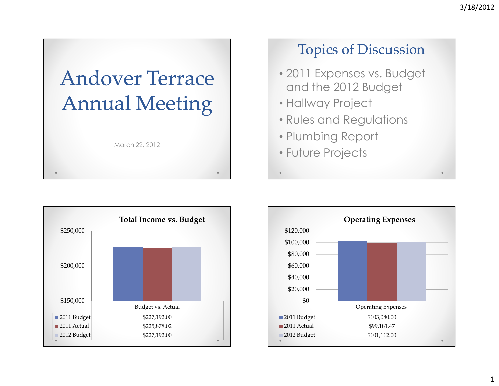





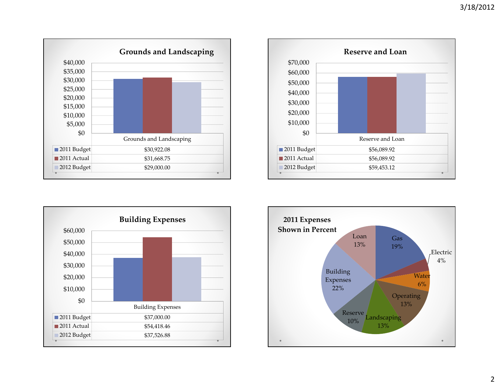





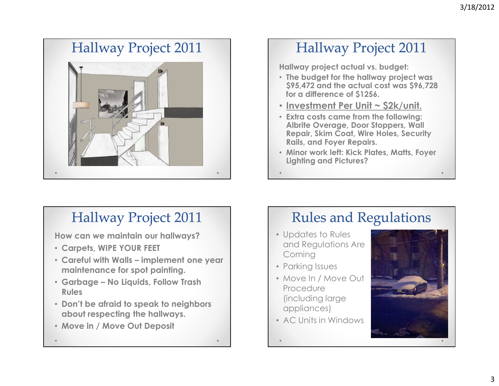# Hallway Project 2011



### Hallway Project 2011

Hallway project actual vs. budget:

- The budget for the hallway project was \$95,472 and the actual cost was \$96,728 for a difference of \$1256.
- Investment Per Unit ~ \$2k/unit.
- Extra costs came from the following: Albrite Overage, Door Stoppers, Wall Repair, Skim Coat, Wire Holes, Security Rails, and Foyer Repairs.
- Minor work left: Kick Plates, Matts, Foyer Lighting and Pictures?

#### Hallway Project 2011

How can we maintain our hallways?

- Carpets, WIPE YOUR FEET
- Careful with Walls implement one year maintenance for spot painting.
- Garbage No Liquids, Follow Trash Rules
- Don't be afraid to speak to neighbors about respecting the hallways.
- Move in / Move Out Deposit

#### Rules and Regulations

- Updates to Rules and Regulations Are Coming
- Parking Issues
- Move In / Move Out Procedure (including large appliances)
- AC Units in Windows